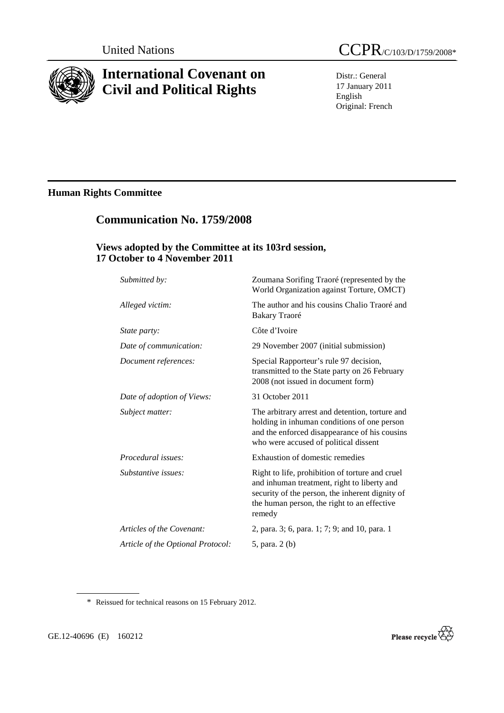

# **International Covenant on Civil and Political Rights**

Distr.: General 17 January 2011 English Original: French

# **Human Rights Committee**

# **Communication No. 1759/2008**

## **Views adopted by the Committee at its 103rd session, 17 October to 4 November 2011**

| Submitted by:                     | Zoumana Sorifing Traoré (represented by the<br>World Organization against Torture, OMCT)                                                                                                                   |
|-----------------------------------|------------------------------------------------------------------------------------------------------------------------------------------------------------------------------------------------------------|
| Alleged victim:                   | The author and his cousins Chalio Traoré and<br>Bakary Traoré                                                                                                                                              |
| <i>State party:</i>               | Côte d'Ivoire                                                                                                                                                                                              |
| Date of communication:            | 29 November 2007 (initial submission)                                                                                                                                                                      |
| Document references:              | Special Rapporteur's rule 97 decision,<br>transmitted to the State party on 26 February<br>2008 (not issued in document form)                                                                              |
| Date of adoption of Views:        | 31 October 2011                                                                                                                                                                                            |
| Subject matter:                   | The arbitrary arrest and detention, torture and<br>holding in inhuman conditions of one person<br>and the enforced disappearance of his cousins<br>who were accused of political dissent                   |
| <i>Procedural issues:</i>         | Exhaustion of domestic remedies                                                                                                                                                                            |
| Substantive issues:               | Right to life, prohibition of torture and cruel<br>and inhuman treatment, right to liberty and<br>security of the person, the inherent dignity of<br>the human person, the right to an effective<br>remedy |
| Articles of the Covenant:         | 2, para. 3; 6, para. 1; 7; 9; and 10, para. 1                                                                                                                                                              |
| Article of the Optional Protocol: | 5, para. 2 (b)                                                                                                                                                                                             |

\* Reissued for technical reasons on 15 February 2012.

GE.12-40696 (E) 160212

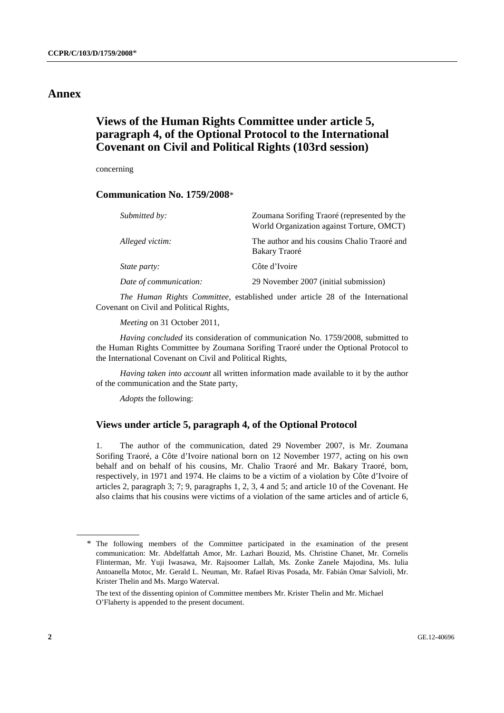## **Annex**

## **Views of the Human Rights Committee under article 5, paragraph 4, of the Optional Protocol to the International Covenant on Civil and Political Rights (103rd session)**

concerning

## **Communication No. 1759/2008**\*

| Submitted by:          | Zoumana Sorifing Traoré (represented by the<br>World Organization against Torture, OMCT) |
|------------------------|------------------------------------------------------------------------------------------|
| Alleged victim:        | The author and his cousins Chalio Traoré and<br>Bakary Traoré                            |
| <i>State party:</i>    | Côte d'Ivoire                                                                            |
| Date of communication: | 29 November 2007 (initial submission)                                                    |

*The Human Rights Committee*, established under article 28 of the International Covenant on Civil and Political Rights,

*Meeting* on 31 October 2011,

*Having concluded* its consideration of communication No. 1759/2008, submitted to the Human Rights Committee by Zoumana Sorifing Traoré under the Optional Protocol to the International Covenant on Civil and Political Rights,

*Having taken into account* all written information made available to it by the author of the communication and the State party,

*Adopts* the following:

### **Views under article 5, paragraph 4, of the Optional Protocol**

1. The author of the communication, dated 29 November 2007, is Mr. Zoumana Sorifing Traoré, a Côte d'Ivoire national born on 12 November 1977, acting on his own behalf and on behalf of his cousins, Mr. Chalio Traoré and Mr. Bakary Traoré, born, respectively, in 1971 and 1974. He claims to be a victim of a violation by Côte d'Ivoire of articles 2, paragraph 3; 7; 9, paragraphs 1, 2, 3, 4 and 5; and article 10 of the Covenant. He also claims that his cousins were victims of a violation of the same articles and of article 6,

<sup>\*</sup> The following members of the Committee participated in the examination of the present communication: Mr. Abdelfattah Amor, Mr. Lazhari Bouzid, Ms. Christine Chanet, Mr. Cornelis Flinterman, Mr. Yuji Iwasawa, Mr. Rajsoomer Lallah, Ms. Zonke Zanele Majodina, Ms. Iulia Antoanella Motoc, Mr. Gerald L. Neuman, Mr. Rafael Rivas Posada, Mr. Fabián Omar Salvioli, Mr. Krister Thelin and Ms. Margo Waterval.

The text of the dissenting opinion of Committee members Mr. Krister Thelin and Mr. Michael O'Flaherty is appended to the present document.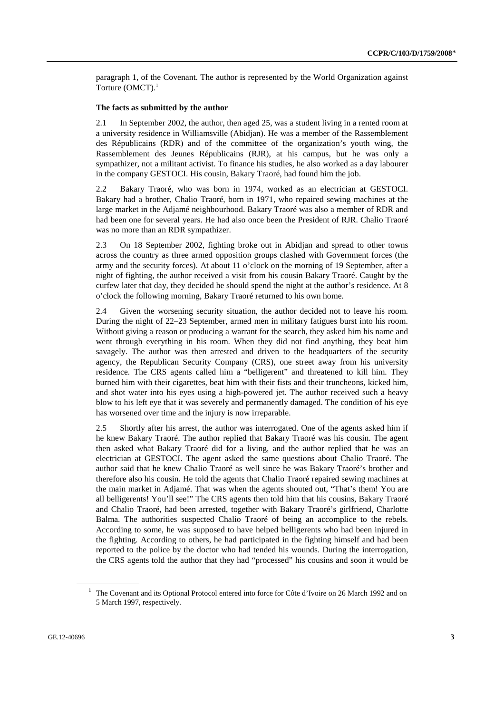paragraph 1, of the Covenant. The author is represented by the World Organization against Torture (OMCT).<sup>1</sup>

#### **The facts as submitted by the author**

2.1 In September 2002, the author, then aged 25, was a student living in a rented room at a university residence in Williamsville (Abidjan). He was a member of the Rassemblement des Républicains (RDR) and of the committee of the organization's youth wing, the Rassemblement des Jeunes Républicains (RJR), at his campus, but he was only a sympathizer, not a militant activist. To finance his studies, he also worked as a day labourer in the company GESTOCI. His cousin, Bakary Traoré, had found him the job.

2.2 Bakary Traoré, who was born in 1974, worked as an electrician at GESTOCI. Bakary had a brother, Chalio Traoré, born in 1971, who repaired sewing machines at the large market in the Adjamé neighbourhood. Bakary Traoré was also a member of RDR and had been one for several years. He had also once been the President of RJR. Chalio Traoré was no more than an RDR sympathizer.

2.3 On 18 September 2002, fighting broke out in Abidjan and spread to other towns across the country as three armed opposition groups clashed with Government forces (the army and the security forces). At about 11 o'clock on the morning of 19 September, after a night of fighting, the author received a visit from his cousin Bakary Traoré. Caught by the curfew later that day, they decided he should spend the night at the author's residence. At 8 o'clock the following morning, Bakary Traoré returned to his own home.

2.4 Given the worsening security situation, the author decided not to leave his room. During the night of 22–23 September, armed men in military fatigues burst into his room. Without giving a reason or producing a warrant for the search, they asked him his name and went through everything in his room. When they did not find anything, they beat him savagely. The author was then arrested and driven to the headquarters of the security agency, the Republican Security Company (CRS), one street away from his university residence. The CRS agents called him a "belligerent" and threatened to kill him. They burned him with their cigarettes, beat him with their fists and their truncheons, kicked him, and shot water into his eyes using a high-powered jet. The author received such a heavy blow to his left eye that it was severely and permanently damaged. The condition of his eye has worsened over time and the injury is now irreparable.

2.5 Shortly after his arrest, the author was interrogated. One of the agents asked him if he knew Bakary Traoré. The author replied that Bakary Traoré was his cousin. The agent then asked what Bakary Traoré did for a living, and the author replied that he was an electrician at GESTOCI. The agent asked the same questions about Chalio Traoré. The author said that he knew Chalio Traoré as well since he was Bakary Traoré's brother and therefore also his cousin. He told the agents that Chalio Traoré repaired sewing machines at the main market in Adjamé. That was when the agents shouted out, "That's them! You are all belligerents! You'll see!" The CRS agents then told him that his cousins, Bakary Traoré and Chalio Traoré, had been arrested, together with Bakary Traoré's girlfriend, Charlotte Balma. The authorities suspected Chalio Traoré of being an accomplice to the rebels. According to some, he was supposed to have helped belligerents who had been injured in the fighting. According to others, he had participated in the fighting himself and had been reported to the police by the doctor who had tended his wounds. During the interrogation, the CRS agents told the author that they had "processed" his cousins and soon it would be

<sup>&</sup>lt;sup>1</sup> The Covenant and its Optional Protocol entered into force for Côte d'Ivoire on 26 March 1992 and on 5 March 1997, respectively.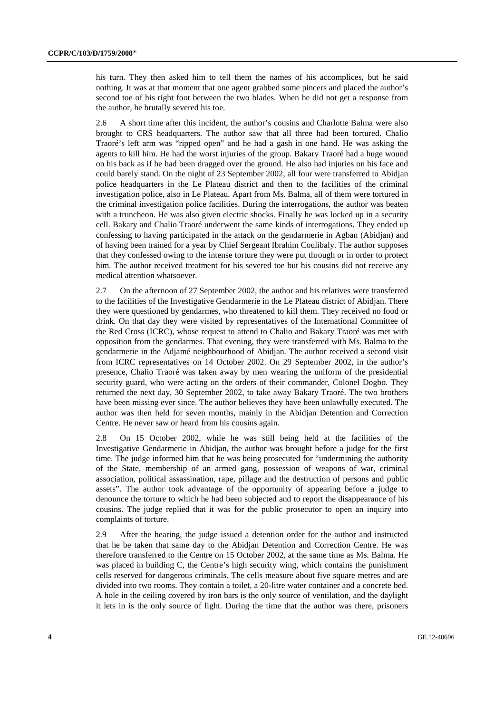his turn. They then asked him to tell them the names of his accomplices, but he said nothing. It was at that moment that one agent grabbed some pincers and placed the author's second toe of his right foot between the two blades. When he did not get a response from the author, he brutally severed his toe.

2.6 A short time after this incident, the author's cousins and Charlotte Balma were also brought to CRS headquarters. The author saw that all three had been tortured. Chalio Traoré's left arm was "ripped open" and he had a gash in one hand. He was asking the agents to kill him. He had the worst injuries of the group. Bakary Traoré had a huge wound on his back as if he had been dragged over the ground. He also had injuries on his face and could barely stand. On the night of 23 September 2002, all four were transferred to Abidjan police headquarters in the Le Plateau district and then to the facilities of the criminal investigation police, also in Le Plateau. Apart from Ms. Balma, all of them were tortured in the criminal investigation police facilities. During the interrogations, the author was beaten with a truncheon. He was also given electric shocks. Finally he was locked up in a security cell. Bakary and Chalio Traoré underwent the same kinds of interrogations. They ended up confessing to having participated in the attack on the gendarmerie in Agban (Abidjan) and of having been trained for a year by Chief Sergeant Ibrahim Coulibaly. The author supposes that they confessed owing to the intense torture they were put through or in order to protect him. The author received treatment for his severed toe but his cousins did not receive any medical attention whatsoever.

2.7 On the afternoon of 27 September 2002, the author and his relatives were transferred to the facilities of the Investigative Gendarmerie in the Le Plateau district of Abidjan. There they were questioned by gendarmes, who threatened to kill them. They received no food or drink. On that day they were visited by representatives of the International Committee of the Red Cross (ICRC), whose request to attend to Chalio and Bakary Traoré was met with opposition from the gendarmes. That evening, they were transferred with Ms. Balma to the gendarmerie in the Adjamé neighbourhood of Abidjan. The author received a second visit from ICRC representatives on 14 October 2002. On 29 September 2002, in the author's presence, Chalio Traoré was taken away by men wearing the uniform of the presidential security guard, who were acting on the orders of their commander, Colonel Dogbo. They returned the next day, 30 September 2002, to take away Bakary Traoré. The two brothers have been missing ever since. The author believes they have been unlawfully executed. The author was then held for seven months, mainly in the Abidjan Detention and Correction Centre. He never saw or heard from his cousins again.

2.8 On 15 October 2002, while he was still being held at the facilities of the Investigative Gendarmerie in Abidjan, the author was brought before a judge for the first time. The judge informed him that he was being prosecuted for "undermining the authority of the State, membership of an armed gang, possession of weapons of war, criminal association, political assassination, rape, pillage and the destruction of persons and public assets". The author took advantage of the opportunity of appearing before a judge to denounce the torture to which he had been subjected and to report the disappearance of his cousins. The judge replied that it was for the public prosecutor to open an inquiry into complaints of torture.

2.9 After the hearing, the judge issued a detention order for the author and instructed that he be taken that same day to the Abidjan Detention and Correction Centre. He was therefore transferred to the Centre on 15 October 2002, at the same time as Ms. Balma. He was placed in building C, the Centre's high security wing, which contains the punishment cells reserved for dangerous criminals. The cells measure about five square metres and are divided into two rooms. They contain a toilet, a 20-litre water container and a concrete bed. A hole in the ceiling covered by iron bars is the only source of ventilation, and the daylight it lets in is the only source of light. During the time that the author was there, prisoners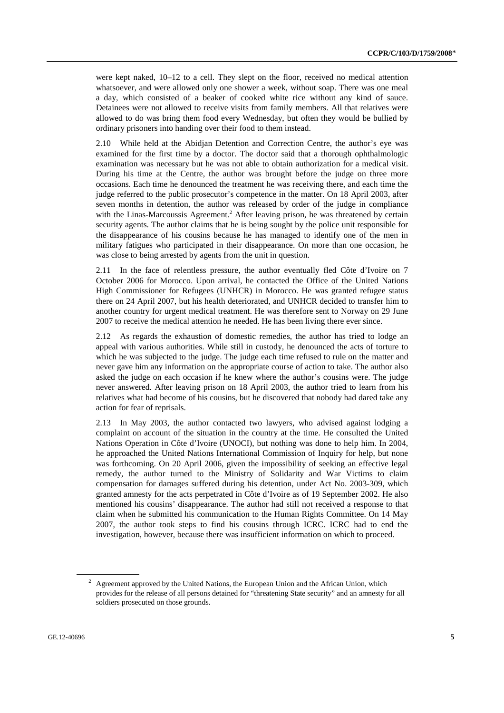were kept naked, 10–12 to a cell. They slept on the floor, received no medical attention whatsoever, and were allowed only one shower a week, without soap. There was one meal a day, which consisted of a beaker of cooked white rice without any kind of sauce. Detainees were not allowed to receive visits from family members. All that relatives were allowed to do was bring them food every Wednesday, but often they would be bullied by ordinary prisoners into handing over their food to them instead.

2.10 While held at the Abidjan Detention and Correction Centre, the author's eye was examined for the first time by a doctor. The doctor said that a thorough ophthalmologic examination was necessary but he was not able to obtain authorization for a medical visit. During his time at the Centre, the author was brought before the judge on three more occasions. Each time he denounced the treatment he was receiving there, and each time the judge referred to the public prosecutor's competence in the matter. On 18 April 2003, after seven months in detention, the author was released by order of the judge in compliance with the Linas-Marcoussis Agreement.<sup>2</sup> After leaving prison, he was threatened by certain security agents. The author claims that he is being sought by the police unit responsible for the disappearance of his cousins because he has managed to identify one of the men in military fatigues who participated in their disappearance. On more than one occasion, he was close to being arrested by agents from the unit in question.

2.11 In the face of relentless pressure, the author eventually fled Côte d'Ivoire on 7 October 2006 for Morocco. Upon arrival, he contacted the Office of the United Nations High Commissioner for Refugees (UNHCR) in Morocco. He was granted refugee status there on 24 April 2007, but his health deteriorated, and UNHCR decided to transfer him to another country for urgent medical treatment. He was therefore sent to Norway on 29 June 2007 to receive the medical attention he needed. He has been living there ever since.

2.12 As regards the exhaustion of domestic remedies, the author has tried to lodge an appeal with various authorities. While still in custody, he denounced the acts of torture to which he was subjected to the judge. The judge each time refused to rule on the matter and never gave him any information on the appropriate course of action to take. The author also asked the judge on each occasion if he knew where the author's cousins were. The judge never answered. After leaving prison on 18 April 2003, the author tried to learn from his relatives what had become of his cousins, but he discovered that nobody had dared take any action for fear of reprisals.

2.13 In May 2003, the author contacted two lawyers, who advised against lodging a complaint on account of the situation in the country at the time. He consulted the United Nations Operation in Côte d'Ivoire (UNOCI), but nothing was done to help him. In 2004, he approached the United Nations International Commission of Inquiry for help, but none was forthcoming. On 20 April 2006, given the impossibility of seeking an effective legal remedy, the author turned to the Ministry of Solidarity and War Victims to claim compensation for damages suffered during his detention, under Act No. 2003-309, which granted amnesty for the acts perpetrated in Côte d'Ivoire as of 19 September 2002. He also mentioned his cousins' disappearance. The author had still not received a response to that claim when he submitted his communication to the Human Rights Committee. On 14 May 2007, the author took steps to find his cousins through ICRC. ICRC had to end the investigation, however, because there was insufficient information on which to proceed.

 $2$  Agreement approved by the United Nations, the European Union and the African Union, which provides for the release of all persons detained for "threatening State security" and an amnesty for all soldiers prosecuted on those grounds.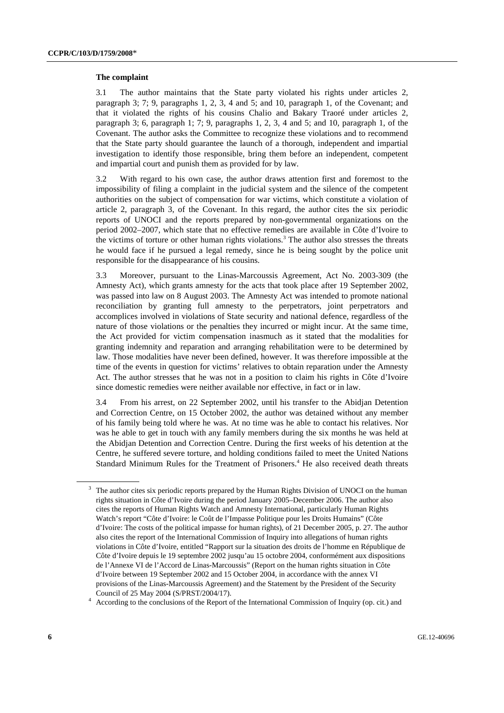#### **The complaint**

3.1 The author maintains that the State party violated his rights under articles 2, paragraph 3; 7; 9, paragraphs 1, 2, 3, 4 and 5; and 10, paragraph 1, of the Covenant; and that it violated the rights of his cousins Chalio and Bakary Traoré under articles 2, paragraph 3; 6, paragraph 1; 7; 9, paragraphs 1, 2, 3, 4 and 5; and 10, paragraph 1, of the Covenant. The author asks the Committee to recognize these violations and to recommend that the State party should guarantee the launch of a thorough, independent and impartial investigation to identify those responsible, bring them before an independent, competent and impartial court and punish them as provided for by law.

3.2 With regard to his own case, the author draws attention first and foremost to the impossibility of filing a complaint in the judicial system and the silence of the competent authorities on the subject of compensation for war victims, which constitute a violation of article 2, paragraph 3, of the Covenant. In this regard, the author cites the six periodic reports of UNOCI and the reports prepared by non-governmental organizations on the period 2002–2007, which state that no effective remedies are available in Côte d'Ivoire to the victims of torture or other human rights violations.<sup>3</sup> The author also stresses the threats he would face if he pursued a legal remedy, since he is being sought by the police unit responsible for the disappearance of his cousins.

3.3 Moreover, pursuant to the Linas-Marcoussis Agreement, Act No. 2003-309 (the Amnesty Act), which grants amnesty for the acts that took place after 19 September 2002, was passed into law on 8 August 2003. The Amnesty Act was intended to promote national reconciliation by granting full amnesty to the perpetrators, joint perpetrators and accomplices involved in violations of State security and national defence, regardless of the nature of those violations or the penalties they incurred or might incur. At the same time, the Act provided for victim compensation inasmuch as it stated that the modalities for granting indemnity and reparation and arranging rehabilitation were to be determined by law. Those modalities have never been defined, however. It was therefore impossible at the time of the events in question for victims' relatives to obtain reparation under the Amnesty Act. The author stresses that he was not in a position to claim his rights in Côte d'Ivoire since domestic remedies were neither available nor effective, in fact or in law.

3.4 From his arrest, on 22 September 2002, until his transfer to the Abidjan Detention and Correction Centre, on 15 October 2002, the author was detained without any member of his family being told where he was. At no time was he able to contact his relatives. Nor was he able to get in touch with any family members during the six months he was held at the Abidjan Detention and Correction Centre. During the first weeks of his detention at the Centre, he suffered severe torture, and holding conditions failed to meet the United Nations Standard Minimum Rules for the Treatment of Prisoners.<sup>4</sup> He also received death threats

<sup>3</sup> The author cites six periodic reports prepared by the Human Rights Division of UNOCI on the human rights situation in Côte d'Ivoire during the period January 2005–December 2006. The author also cites the reports of Human Rights Watch and Amnesty International, particularly Human Rights Watch's report "Côte d'Ivoire: le Coût de l'Impasse Politique pour les Droits Humains" (Côte d'Ivoire: The costs of the political impasse for human rights), of 21 December 2005, p. 27. The author also cites the report of the International Commission of Inquiry into allegations of human rights violations in Côte d'Ivoire, entitled "Rapport sur la situation des droits de l'homme en République de Côte d'Ivoire depuis le 19 septembre 2002 jusqu'au 15 octobre 2004, conformément aux dispositions de l'Annexe VI de l'Accord de Linas-Marcoussis" (Report on the human rights situation in Côte d'Ivoire between 19 September 2002 and 15 October 2004, in accordance with the annex VI provisions of the Linas-Marcoussis Agreement) and the Statement by the President of the Security Council of 25 May 2004 (S/PRST/2004/17). 4

<sup>&</sup>lt;sup>4</sup> According to the conclusions of the Report of the International Commission of Inquiry (op. cit.) and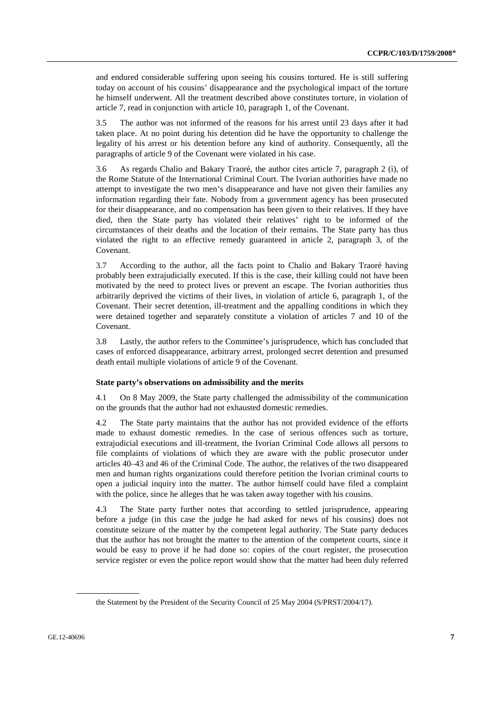and endured considerable suffering upon seeing his cousins tortured. He is still suffering today on account of his cousins' disappearance and the psychological impact of the torture he himself underwent. All the treatment described above constitutes torture, in violation of article 7, read in conjunction with article 10, paragraph 1, of the Covenant.

3.5 The author was not informed of the reasons for his arrest until 23 days after it had taken place. At no point during his detention did he have the opportunity to challenge the legality of his arrest or his detention before any kind of authority. Consequently, all the paragraphs of article 9 of the Covenant were violated in his case.

3.6 As regards Chalio and Bakary Traoré, the author cites article 7, paragraph 2 (i), of the Rome Statute of the International Criminal Court. The Ivorian authorities have made no attempt to investigate the two men's disappearance and have not given their families any information regarding their fate. Nobody from a government agency has been prosecuted for their disappearance, and no compensation has been given to their relatives. If they have died, then the State party has violated their relatives' right to be informed of the circumstances of their deaths and the location of their remains. The State party has thus violated the right to an effective remedy guaranteed in article 2, paragraph 3, of the Covenant.

3.7 According to the author, all the facts point to Chalio and Bakary Traoré having probably been extrajudicially executed. If this is the case, their killing could not have been motivated by the need to protect lives or prevent an escape. The Ivorian authorities thus arbitrarily deprived the victims of their lives, in violation of article 6, paragraph 1, of the Covenant. Their secret detention, ill-treatment and the appalling conditions in which they were detained together and separately constitute a violation of articles 7 and 10 of the Covenant.

3.8 Lastly, the author refers to the Committee's jurisprudence, which has concluded that cases of enforced disappearance, arbitrary arrest, prolonged secret detention and presumed death entail multiple violations of article 9 of the Covenant.

#### **State party's observations on admissibility and the merits**

4.1 On 8 May 2009, the State party challenged the admissibility of the communication on the grounds that the author had not exhausted domestic remedies.

4.2 The State party maintains that the author has not provided evidence of the efforts made to exhaust domestic remedies. In the case of serious offences such as torture, extrajudicial executions and ill-treatment, the Ivorian Criminal Code allows all persons to file complaints of violations of which they are aware with the public prosecutor under articles 40–43 and 46 of the Criminal Code. The author, the relatives of the two disappeared men and human rights organizations could therefore petition the Ivorian criminal courts to open a judicial inquiry into the matter. The author himself could have filed a complaint with the police, since he alleges that he was taken away together with his cousins.

4.3 The State party further notes that according to settled jurisprudence, appearing before a judge (in this case the judge he had asked for news of his cousins) does not constitute seizure of the matter by the competent legal authority. The State party deduces that the author has not brought the matter to the attention of the competent courts, since it would be easy to prove if he had done so: copies of the court register, the prosecution service register or even the police report would show that the matter had been duly referred

the Statement by the President of the Security Council of 25 May 2004 (S/PRST/2004/17).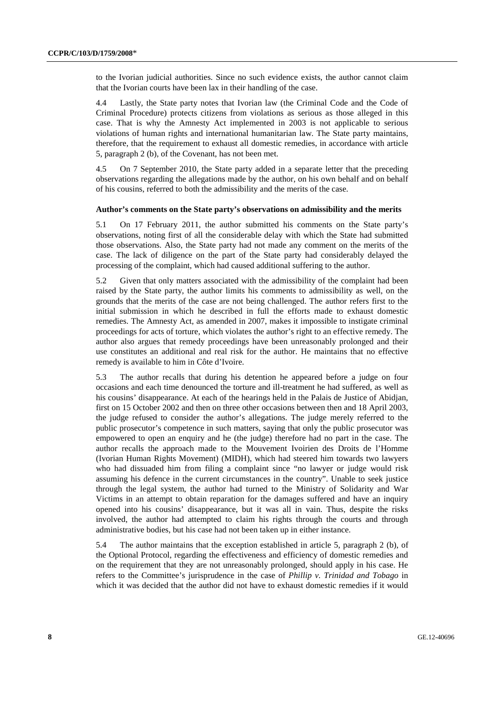to the Ivorian judicial authorities. Since no such evidence exists, the author cannot claim that the Ivorian courts have been lax in their handling of the case.

4.4 Lastly, the State party notes that Ivorian law (the Criminal Code and the Code of Criminal Procedure) protects citizens from violations as serious as those alleged in this case. That is why the Amnesty Act implemented in 2003 is not applicable to serious violations of human rights and international humanitarian law. The State party maintains, therefore, that the requirement to exhaust all domestic remedies, in accordance with article 5, paragraph 2 (b), of the Covenant, has not been met.

4.5 On 7 September 2010, the State party added in a separate letter that the preceding observations regarding the allegations made by the author, on his own behalf and on behalf of his cousins, referred to both the admissibility and the merits of the case.

#### **Author's comments on the State party's observations on admissibility and the merits**

5.1 On 17 February 2011, the author submitted his comments on the State party's observations, noting first of all the considerable delay with which the State had submitted those observations. Also, the State party had not made any comment on the merits of the case. The lack of diligence on the part of the State party had considerably delayed the processing of the complaint, which had caused additional suffering to the author.

5.2 Given that only matters associated with the admissibility of the complaint had been raised by the State party, the author limits his comments to admissibility as well, on the grounds that the merits of the case are not being challenged. The author refers first to the initial submission in which he described in full the efforts made to exhaust domestic remedies. The Amnesty Act, as amended in 2007, makes it impossible to instigate criminal proceedings for acts of torture, which violates the author's right to an effective remedy. The author also argues that remedy proceedings have been unreasonably prolonged and their use constitutes an additional and real risk for the author. He maintains that no effective remedy is available to him in Côte d'Ivoire.

5.3 The author recalls that during his detention he appeared before a judge on four occasions and each time denounced the torture and ill-treatment he had suffered, as well as his cousins' disappearance. At each of the hearings held in the Palais de Justice of Abidjan, first on 15 October 2002 and then on three other occasions between then and 18 April 2003, the judge refused to consider the author's allegations. The judge merely referred to the public prosecutor's competence in such matters, saying that only the public prosecutor was empowered to open an enquiry and he (the judge) therefore had no part in the case. The author recalls the approach made to the Mouvement Ivoirien des Droits de l'Homme (Ivorian Human Rights Movement) (MIDH), which had steered him towards two lawyers who had dissuaded him from filing a complaint since "no lawyer or judge would risk assuming his defence in the current circumstances in the country". Unable to seek justice through the legal system, the author had turned to the Ministry of Solidarity and War Victims in an attempt to obtain reparation for the damages suffered and have an inquiry opened into his cousins' disappearance, but it was all in vain. Thus, despite the risks involved, the author had attempted to claim his rights through the courts and through administrative bodies, but his case had not been taken up in either instance.

5.4 The author maintains that the exception established in article 5, paragraph 2 (b), of the Optional Protocol, regarding the effectiveness and efficiency of domestic remedies and on the requirement that they are not unreasonably prolonged, should apply in his case. He refers to the Committee's jurisprudence in the case of *Phillip v. Trinidad and Tobago* in which it was decided that the author did not have to exhaust domestic remedies if it would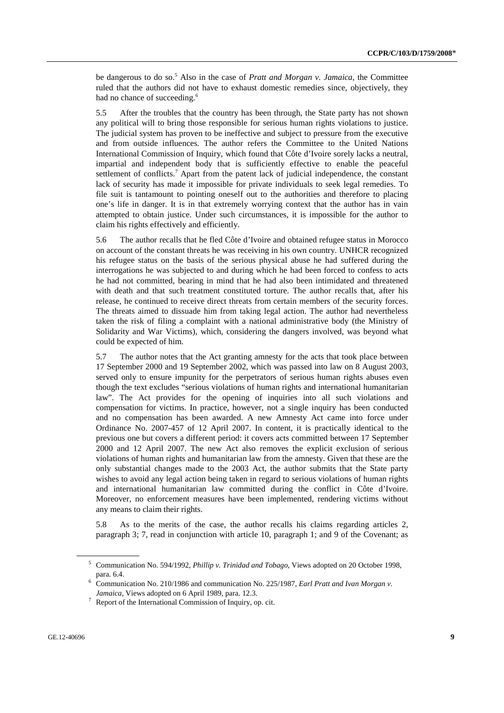be dangerous to do so.<sup>5</sup> Also in the case of *Pratt and Morgan v. Jamaica*, the Committee ruled that the authors did not have to exhaust domestic remedies since, objectively, they had no chance of succeeding.<sup>6</sup>

5.5 After the troubles that the country has been through, the State party has not shown any political will to bring those responsible for serious human rights violations to justice. The judicial system has proven to be ineffective and subject to pressure from the executive and from outside influences. The author refers the Committee to the United Nations International Commission of Inquiry, which found that Côte d'Ivoire sorely lacks a neutral, impartial and independent body that is sufficiently effective to enable the peaceful settlement of conflicts.<sup>7</sup> Apart from the patent lack of judicial independence, the constant lack of security has made it impossible for private individuals to seek legal remedies. To file suit is tantamount to pointing oneself out to the authorities and therefore to placing one's life in danger. It is in that extremely worrying context that the author has in vain attempted to obtain justice. Under such circumstances, it is impossible for the author to claim his rights effectively and efficiently.

5.6 The author recalls that he fled Côte d'Ivoire and obtained refugee status in Morocco on account of the constant threats he was receiving in his own country. UNHCR recognized his refugee status on the basis of the serious physical abuse he had suffered during the interrogations he was subjected to and during which he had been forced to confess to acts he had not committed, bearing in mind that he had also been intimidated and threatened with death and that such treatment constituted torture. The author recalls that, after his release, he continued to receive direct threats from certain members of the security forces. The threats aimed to dissuade him from taking legal action. The author had nevertheless taken the risk of filing a complaint with a national administrative body (the Ministry of Solidarity and War Victims), which, considering the dangers involved, was beyond what could be expected of him.

5.7 The author notes that the Act granting amnesty for the acts that took place between 17 September 2000 and 19 September 2002, which was passed into law on 8 August 2003, served only to ensure impunity for the perpetrators of serious human rights abuses even though the text excludes "serious violations of human rights and international humanitarian law". The Act provides for the opening of inquiries into all such violations and compensation for victims. In practice, however, not a single inquiry has been conducted and no compensation has been awarded. A new Amnesty Act came into force under Ordinance No. 2007-457 of 12 April 2007. In content, it is practically identical to the previous one but covers a different period: it covers acts committed between 17 September 2000 and 12 April 2007. The new Act also removes the explicit exclusion of serious violations of human rights and humanitarian law from the amnesty. Given that these are the only substantial changes made to the 2003 Act, the author submits that the State party wishes to avoid any legal action being taken in regard to serious violations of human rights and international humanitarian law committed during the conflict in Côte d'Ivoire. Moreover, no enforcement measures have been implemented, rendering victims without any means to claim their rights.

5.8 As to the merits of the case, the author recalls his claims regarding articles 2, paragraph 3; 7, read in conjunction with article 10, paragraph 1; and 9 of the Covenant; as

<sup>5</sup> Communication No. 594/1992, *Phillip v. Trinidad and Tobago*, Views adopted on 20 October 1998, para. 6.4.<br><sup>6</sup> Communication No. 210/1986 and communication No. 225/1987, *Earl Pratt and Ivan Morgan v*.

Jamaica, Views adopted on 6 April 1989, para. 12.3.

 $\frac{7}{1}$  Report of the International Commission of Inquiry, op. cit.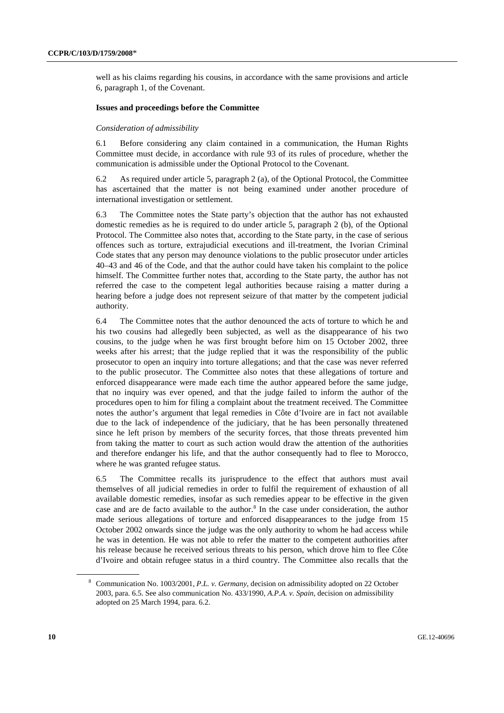well as his claims regarding his cousins, in accordance with the same provisions and article 6, paragraph 1, of the Covenant.

#### **Issues and proceedings before the Committee**

#### *Consideration of admissibility*

6.1 Before considering any claim contained in a communication, the Human Rights Committee must decide, in accordance with rule 93 of its rules of procedure, whether the communication is admissible under the Optional Protocol to the Covenant.

6.2 As required under article 5, paragraph 2 (a), of the Optional Protocol, the Committee has ascertained that the matter is not being examined under another procedure of international investigation or settlement.

6.3 The Committee notes the State party's objection that the author has not exhausted domestic remedies as he is required to do under article 5, paragraph 2 (b), of the Optional Protocol. The Committee also notes that, according to the State party, in the case of serious offences such as torture, extrajudicial executions and ill-treatment, the Ivorian Criminal Code states that any person may denounce violations to the public prosecutor under articles 40–43 and 46 of the Code, and that the author could have taken his complaint to the police himself. The Committee further notes that, according to the State party, the author has not referred the case to the competent legal authorities because raising a matter during a hearing before a judge does not represent seizure of that matter by the competent judicial authority.

6.4 The Committee notes that the author denounced the acts of torture to which he and his two cousins had allegedly been subjected, as well as the disappearance of his two cousins, to the judge when he was first brought before him on 15 October 2002, three weeks after his arrest; that the judge replied that it was the responsibility of the public prosecutor to open an inquiry into torture allegations; and that the case was never referred to the public prosecutor. The Committee also notes that these allegations of torture and enforced disappearance were made each time the author appeared before the same judge, that no inquiry was ever opened, and that the judge failed to inform the author of the procedures open to him for filing a complaint about the treatment received. The Committee notes the author's argument that legal remedies in Côte d'Ivoire are in fact not available due to the lack of independence of the judiciary, that he has been personally threatened since he left prison by members of the security forces, that those threats prevented him from taking the matter to court as such action would draw the attention of the authorities and therefore endanger his life, and that the author consequently had to flee to Morocco, where he was granted refugee status.

6.5 The Committee recalls its jurisprudence to the effect that authors must avail themselves of all judicial remedies in order to fulfil the requirement of exhaustion of all available domestic remedies, insofar as such remedies appear to be effective in the given case and are de facto available to the author.<sup>8</sup> In the case under consideration, the author made serious allegations of torture and enforced disappearances to the judge from 15 October 2002 onwards since the judge was the only authority to whom he had access while he was in detention. He was not able to refer the matter to the competent authorities after his release because he received serious threats to his person, which drove him to flee Côte d'Ivoire and obtain refugee status in a third country. The Committee also recalls that the

<sup>8</sup> Communication No. 1003/2001, *P.L. v. Germany*, decision on admissibility adopted on 22 October 2003, para. 6.5. See also communication No. 433/1990, *A.P.A. v. Spain*, decision on admissibility adopted on 25 March 1994, para. 6.2.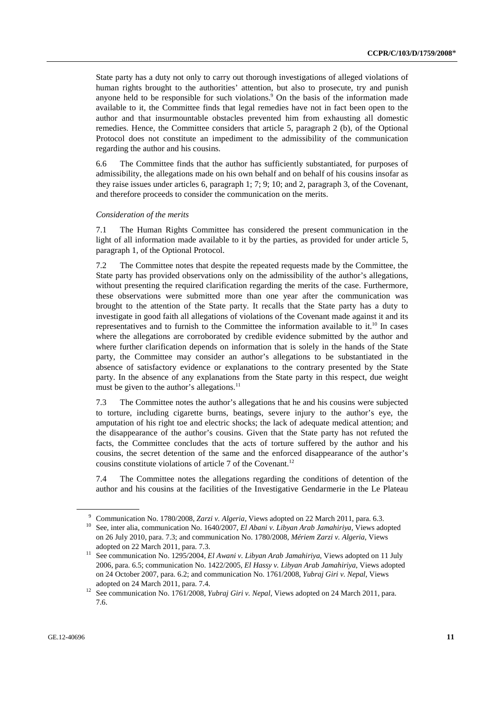State party has a duty not only to carry out thorough investigations of alleged violations of human rights brought to the authorities' attention, but also to prosecute, try and punish anyone held to be responsible for such violations.<sup>9</sup> On the basis of the information made available to it, the Committee finds that legal remedies have not in fact been open to the author and that insurmountable obstacles prevented him from exhausting all domestic remedies. Hence, the Committee considers that article 5, paragraph 2 (b), of the Optional Protocol does not constitute an impediment to the admissibility of the communication regarding the author and his cousins.

6.6 The Committee finds that the author has sufficiently substantiated, for purposes of admissibility, the allegations made on his own behalf and on behalf of his cousins insofar as they raise issues under articles 6, paragraph 1; 7; 9; 10; and 2, paragraph 3, of the Covenant, and therefore proceeds to consider the communication on the merits.

#### *Consideration of the merits*

7.1 The Human Rights Committee has considered the present communication in the light of all information made available to it by the parties, as provided for under article 5, paragraph 1, of the Optional Protocol.

7.2 The Committee notes that despite the repeated requests made by the Committee, the State party has provided observations only on the admissibility of the author's allegations, without presenting the required clarification regarding the merits of the case. Furthermore, these observations were submitted more than one year after the communication was brought to the attention of the State party. It recalls that the State party has a duty to investigate in good faith all allegations of violations of the Covenant made against it and its representatives and to furnish to the Committee the information available to it.<sup>10</sup> In cases where the allegations are corroborated by credible evidence submitted by the author and where further clarification depends on information that is solely in the hands of the State party, the Committee may consider an author's allegations to be substantiated in the absence of satisfactory evidence or explanations to the contrary presented by the State party. In the absence of any explanations from the State party in this respect, due weight must be given to the author's allegations. $^{11}$ 

7.3 The Committee notes the author's allegations that he and his cousins were subjected to torture, including cigarette burns, beatings, severe injury to the author's eye, the amputation of his right toe and electric shocks; the lack of adequate medical attention; and the disappearance of the author's cousins. Given that the State party has not refuted the facts, the Committee concludes that the acts of torture suffered by the author and his cousins, the secret detention of the same and the enforced disappearance of the author's cousins constitute violations of article  $7$  of the Covenant.<sup>12</sup>

7.4 The Committee notes the allegations regarding the conditions of detention of the author and his cousins at the facilities of the Investigative Gendarmerie in the Le Plateau

<sup>9</sup> Communication No. 1780/2008, *Zarzi v. Algeria*, Views adopted on 22 March 2011, para. 6.3. See, inter alia, communication No. 1640/2007, *El Abani v. Libyan Arab Jamahiriya*, Views adopted

on 26 July 2010, para. 7.3; and communication No. 1780/2008, *Mériem Zarzi v. Algeria*, Views

adopted on 22 March 2011, para. 7.3.<br><sup>11</sup> See communication No. 1295/2004, *El Awani v. Libyan Arab Jamahiriya*, Views adopted on 11 July 2006, para. 6.5; communication No. 1422/2005, *El Hassy v. Libyan Arab Jamahiriya*, Views adopted on 24 October 2007, para. 6.2; and communication No. 1761/2008, *Yubraj Giri v. Nepal*, Views adopted on 24 March 2011, para. 7.4. 12 See communication No. 1761/2008, *Yubraj Giri v. Nepal*, Views adopted on 24 March 2011, para.

<sup>7.6.</sup>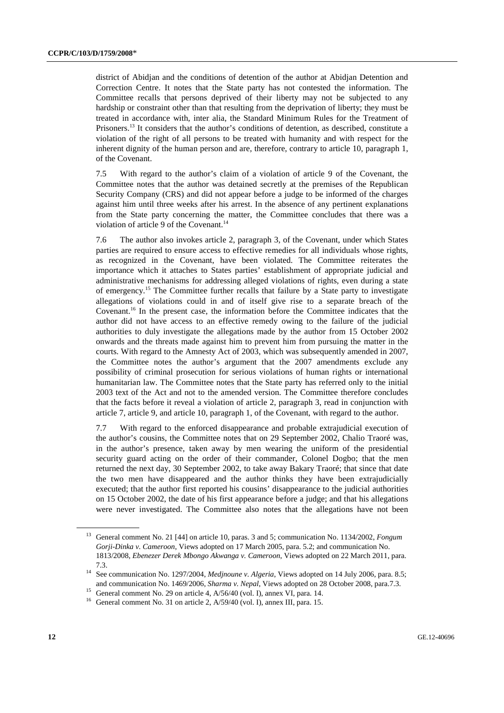district of Abidjan and the conditions of detention of the author at Abidjan Detention and Correction Centre. It notes that the State party has not contested the information. The Committee recalls that persons deprived of their liberty may not be subjected to any hardship or constraint other than that resulting from the deprivation of liberty; they must be treated in accordance with, inter alia, the Standard Minimum Rules for the Treatment of Prisoners.13 It considers that the author's conditions of detention, as described, constitute a violation of the right of all persons to be treated with humanity and with respect for the inherent dignity of the human person and are, therefore, contrary to article 10, paragraph 1, of the Covenant.

7.5 With regard to the author's claim of a violation of article 9 of the Covenant, the Committee notes that the author was detained secretly at the premises of the Republican Security Company (CRS) and did not appear before a judge to be informed of the charges against him until three weeks after his arrest. In the absence of any pertinent explanations from the State party concerning the matter, the Committee concludes that there was a violation of article 9 of the Covenant.<sup>14</sup>

7.6 The author also invokes article 2, paragraph 3, of the Covenant, under which States parties are required to ensure access to effective remedies for all individuals whose rights, as recognized in the Covenant, have been violated. The Committee reiterates the importance which it attaches to States parties' establishment of appropriate judicial and administrative mechanisms for addressing alleged violations of rights, even during a state of emergency.15 The Committee further recalls that failure by a State party to investigate allegations of violations could in and of itself give rise to a separate breach of the Covenant.16 In the present case, the information before the Committee indicates that the author did not have access to an effective remedy owing to the failure of the judicial authorities to duly investigate the allegations made by the author from 15 October 2002 onwards and the threats made against him to prevent him from pursuing the matter in the courts. With regard to the Amnesty Act of 2003, which was subsequently amended in 2007, the Committee notes the author's argument that the 2007 amendments exclude any possibility of criminal prosecution for serious violations of human rights or international humanitarian law. The Committee notes that the State party has referred only to the initial 2003 text of the Act and not to the amended version. The Committee therefore concludes that the facts before it reveal a violation of article 2, paragraph 3, read in conjunction with article 7, article 9, and article 10, paragraph 1, of the Covenant, with regard to the author.

7.7 With regard to the enforced disappearance and probable extrajudicial execution of the author's cousins, the Committee notes that on 29 September 2002, Chalio Traoré was, in the author's presence, taken away by men wearing the uniform of the presidential security guard acting on the order of their commander, Colonel Dogbo; that the men returned the next day, 30 September 2002, to take away Bakary Traoré; that since that date the two men have disappeared and the author thinks they have been extrajudicially executed; that the author first reported his cousins' disappearance to the judicial authorities on 15 October 2002, the date of his first appearance before a judge; and that his allegations were never investigated. The Committee also notes that the allegations have not been

<sup>13</sup> General comment No. 21 [44] on article 10, paras. 3 and 5; communication No. 1134/2002, *Fongum Gorji-Dinka v. Cameroon*, Views adopted on 17 March 2005, para. 5.2; and communication No. 1813/2008, *Ebenezer Derek Mbongo Akwanga v. Cameroon*, Views adopted on 22 March 2011, para.

<sup>7.3. 14</sup> See communication No. 1297/2004, *Medjnoune v. Algeria*, Views adopted on 14 July 2006, para. 8.5; and communication No. 1469/2006, *Sharma v. Nepal*, Views adopted on 28 October 2008, para.7.3. 15 General comment No. 29 on article 4, A/56/40 (vol. I), annex VI, para. 14.

<sup>&</sup>lt;sup>16</sup> General comment No. 31 on article 2, A/59/40 (vol. I), annex III, para. 15.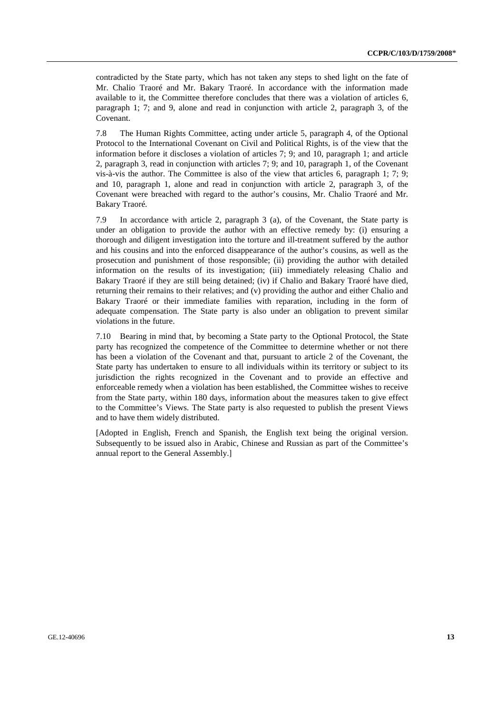contradicted by the State party, which has not taken any steps to shed light on the fate of Mr. Chalio Traoré and Mr. Bakary Traoré. In accordance with the information made available to it, the Committee therefore concludes that there was a violation of articles 6, paragraph 1; 7; and 9, alone and read in conjunction with article 2, paragraph 3, of the Covenant.

7.8 The Human Rights Committee, acting under article 5, paragraph 4, of the Optional Protocol to the International Covenant on Civil and Political Rights, is of the view that the information before it discloses a violation of articles 7; 9; and 10, paragraph 1; and article 2, paragraph 3, read in conjunction with articles 7; 9; and 10, paragraph 1, of the Covenant vis-à-vis the author. The Committee is also of the view that articles 6, paragraph 1; 7; 9; and 10, paragraph 1, alone and read in conjunction with article 2, paragraph 3, of the Covenant were breached with regard to the author's cousins, Mr. Chalio Traoré and Mr. Bakary Traoré.

7.9 In accordance with article 2, paragraph 3 (a), of the Covenant, the State party is under an obligation to provide the author with an effective remedy by: (i) ensuring a thorough and diligent investigation into the torture and ill-treatment suffered by the author and his cousins and into the enforced disappearance of the author's cousins, as well as the prosecution and punishment of those responsible; (ii) providing the author with detailed information on the results of its investigation; (iii) immediately releasing Chalio and Bakary Traoré if they are still being detained; (iv) if Chalio and Bakary Traoré have died, returning their remains to their relatives; and (v) providing the author and either Chalio and Bakary Traoré or their immediate families with reparation, including in the form of adequate compensation. The State party is also under an obligation to prevent similar violations in the future.

7.10 Bearing in mind that, by becoming a State party to the Optional Protocol, the State party has recognized the competence of the Committee to determine whether or not there has been a violation of the Covenant and that, pursuant to article 2 of the Covenant, the State party has undertaken to ensure to all individuals within its territory or subject to its jurisdiction the rights recognized in the Covenant and to provide an effective and enforceable remedy when a violation has been established, the Committee wishes to receive from the State party, within 180 days, information about the measures taken to give effect to the Committee's Views. The State party is also requested to publish the present Views and to have them widely distributed.

[Adopted in English, French and Spanish, the English text being the original version. Subsequently to be issued also in Arabic, Chinese and Russian as part of the Committee's annual report to the General Assembly.]